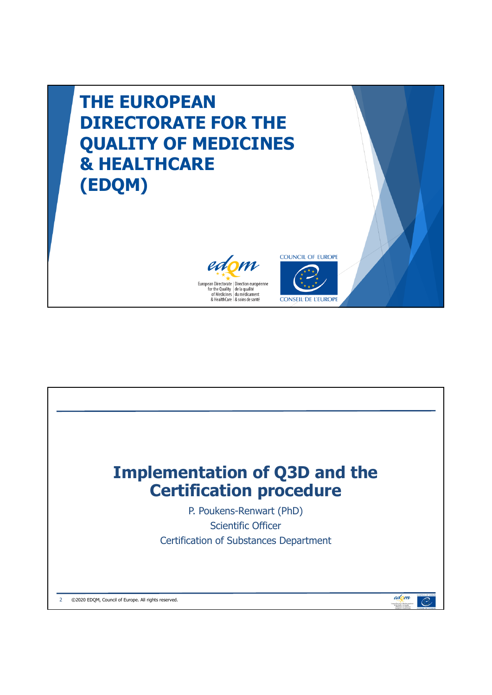

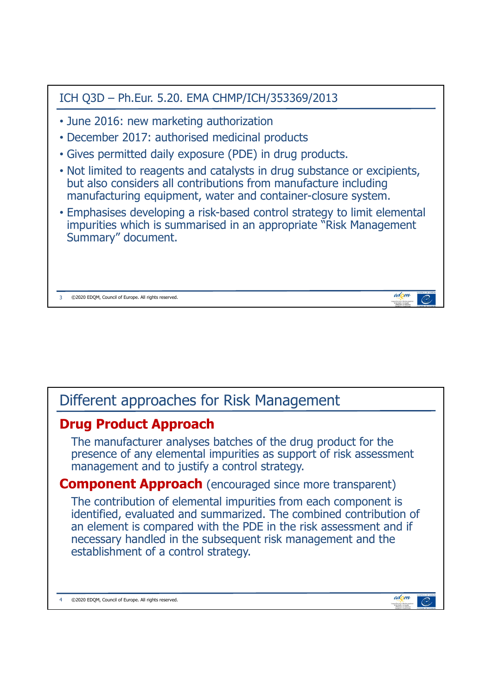| ICH Q3D - Ph.Eur. 5.20. EMA CHMP/ICH/353369/2013                                                                                                                                                            |
|-------------------------------------------------------------------------------------------------------------------------------------------------------------------------------------------------------------|
| • June 2016: new marketing authorization                                                                                                                                                                    |
| • December 2017: authorised medicinal products                                                                                                                                                              |
| • Gives permitted daily exposure (PDE) in drug products.                                                                                                                                                    |
| • Not limited to reagents and catalysts in drug substance or excipients,<br>but also considers all contributions from manufacture including<br>manufacturing equipment, water and container-closure system. |
| • Emphasises developing a risk-based control strategy to limit elemental<br>impurities which is summarised in an appropriate "Risk Management"<br>Summary" document.                                        |
| edom<br>©2020 EDOM, Council of Europe. All rights reserved.                                                                                                                                                 |

## Different approaches for Risk Management

## **Drug Product Approach**

The manufacturer analyses batches of the drug product for the presence of any elemental impurities as support of risk assessment management and to justify a control strategy.

## **Component Approach** (encouraged since more transparent)

The contribution of elemental impurities from each component is identified, evaluated and summarized. The combined contribution of an element is compared with the PDE in the risk assessment and if necessary handled in the subsequent risk management and the establishment of a control strategy.

4 ©2020 EDQM, Council of Europe. All rights reserved.

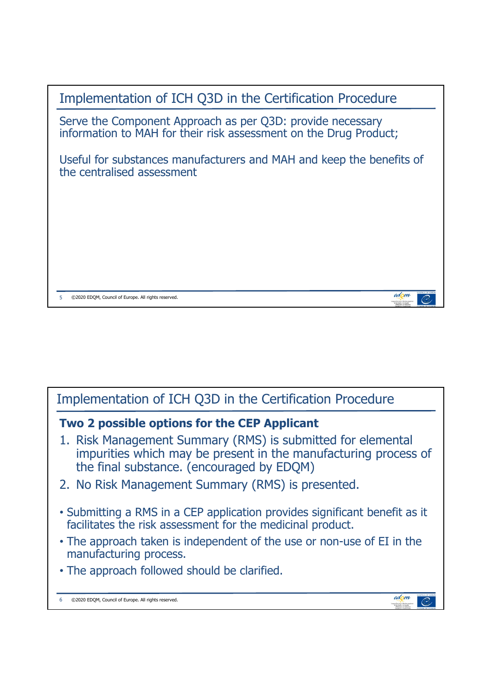

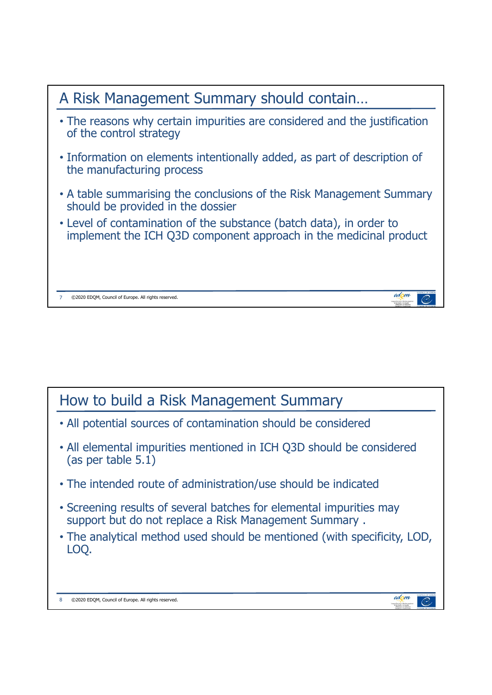

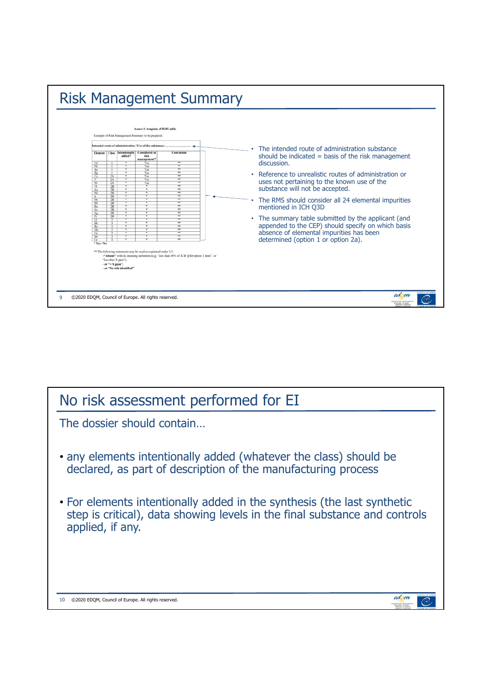

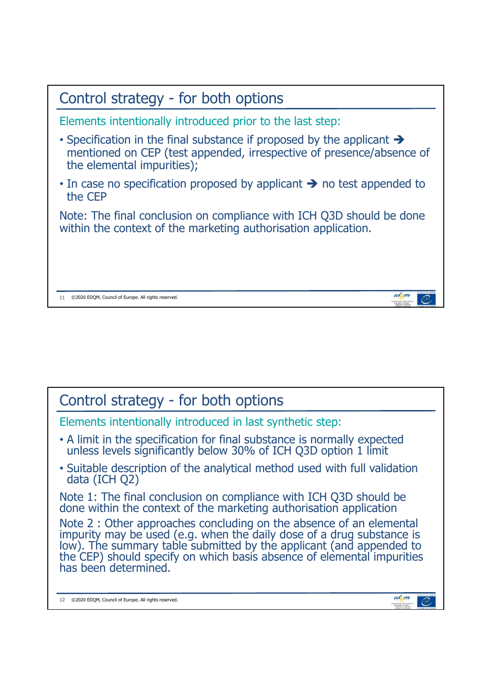

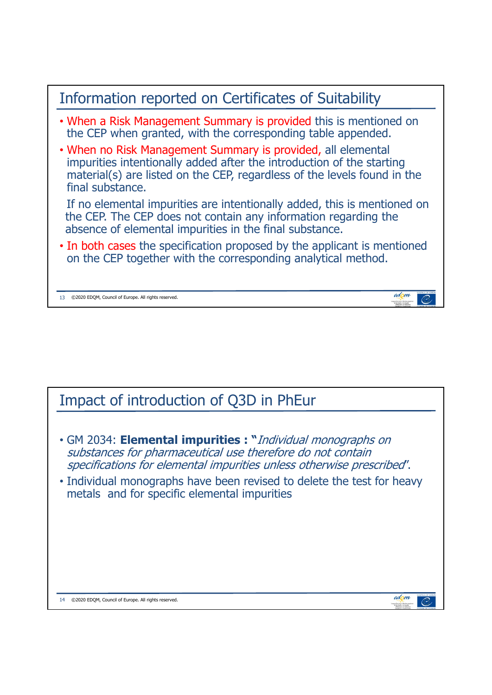

## Impact of introduction of Q3D in PhEur

- GM 2034: **Elemental impurities : "**Individual monographs on substances for pharmaceutical use therefore do not contain specifications for elemental impurities unless otherwise prescribed".
- Individual monographs have been revised to delete the test for heavy metals and for specific elemental impurities

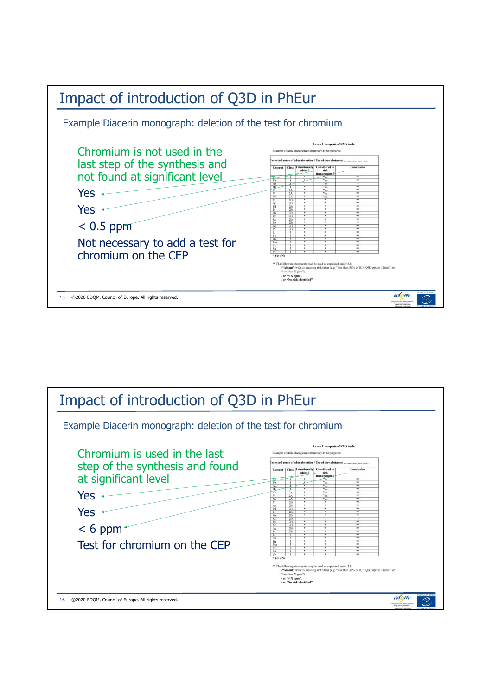